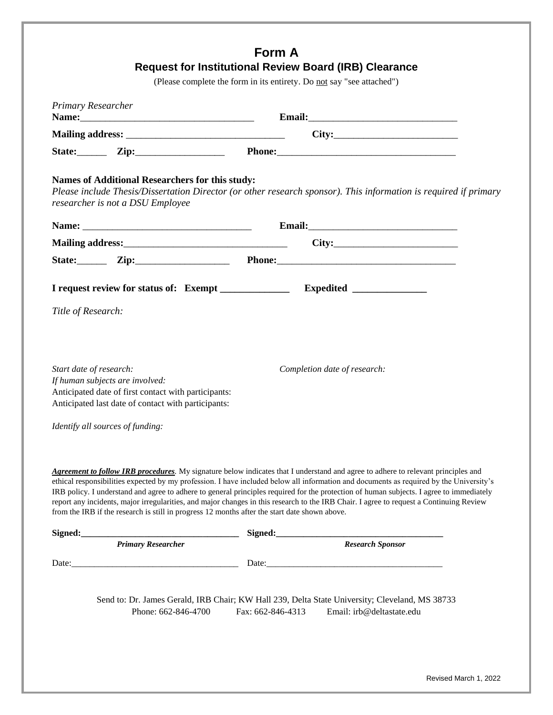| <b>Primary Researcher</b> |                                                                                                                                                |                                                                                                                                                                                                                                                                                                                                                                                                                                                                                                                                                                                                                                                                              |
|---------------------------|------------------------------------------------------------------------------------------------------------------------------------------------|------------------------------------------------------------------------------------------------------------------------------------------------------------------------------------------------------------------------------------------------------------------------------------------------------------------------------------------------------------------------------------------------------------------------------------------------------------------------------------------------------------------------------------------------------------------------------------------------------------------------------------------------------------------------------|
|                           |                                                                                                                                                |                                                                                                                                                                                                                                                                                                                                                                                                                                                                                                                                                                                                                                                                              |
|                           |                                                                                                                                                |                                                                                                                                                                                                                                                                                                                                                                                                                                                                                                                                                                                                                                                                              |
|                           |                                                                                                                                                | State: <u>Zip: Zip: Phone: Phone:</u>                                                                                                                                                                                                                                                                                                                                                                                                                                                                                                                                                                                                                                        |
|                           | <b>Names of Additional Researchers for this study:</b><br>researcher is not a DSU Employee                                                     | Please include Thesis/Dissertation Director (or other research sponsor). This information is required if primary                                                                                                                                                                                                                                                                                                                                                                                                                                                                                                                                                             |
|                           |                                                                                                                                                |                                                                                                                                                                                                                                                                                                                                                                                                                                                                                                                                                                                                                                                                              |
|                           |                                                                                                                                                |                                                                                                                                                                                                                                                                                                                                                                                                                                                                                                                                                                                                                                                                              |
|                           |                                                                                                                                                | State: <u>Zip: Zip: Phone: Phone:</u>                                                                                                                                                                                                                                                                                                                                                                                                                                                                                                                                                                                                                                        |
|                           |                                                                                                                                                |                                                                                                                                                                                                                                                                                                                                                                                                                                                                                                                                                                                                                                                                              |
| Title of Research:        |                                                                                                                                                |                                                                                                                                                                                                                                                                                                                                                                                                                                                                                                                                                                                                                                                                              |
| Start date of research:   | If human subjects are involved:<br>Anticipated date of first contact with participants:<br>Anticipated last date of contact with participants: | Completion date of research:                                                                                                                                                                                                                                                                                                                                                                                                                                                                                                                                                                                                                                                 |
|                           | Identify all sources of funding:                                                                                                               |                                                                                                                                                                                                                                                                                                                                                                                                                                                                                                                                                                                                                                                                              |
|                           |                                                                                                                                                | <b>Agreement to follow IRB procedures</b> . My signature below indicates that I understand and agree to adhere to relevant principles and<br>ethical responsibilities expected by my profession. I have included below all information and documents as required by the University's<br>IRB policy. I understand and agree to adhere to general principles required for the protection of human subjects. I agree to immediately<br>report any incidents, major irregularities, and major changes in this research to the IRB Chair. I agree to request a Continuing Review<br>from the IRB if the research is still in progress 12 months after the start date shown above. |
|                           |                                                                                                                                                | Signed: Frimary Researcher Signed: Signed: Research Sponsor                                                                                                                                                                                                                                                                                                                                                                                                                                                                                                                                                                                                                  |
|                           |                                                                                                                                                |                                                                                                                                                                                                                                                                                                                                                                                                                                                                                                                                                                                                                                                                              |
|                           |                                                                                                                                                |                                                                                                                                                                                                                                                                                                                                                                                                                                                                                                                                                                                                                                                                              |